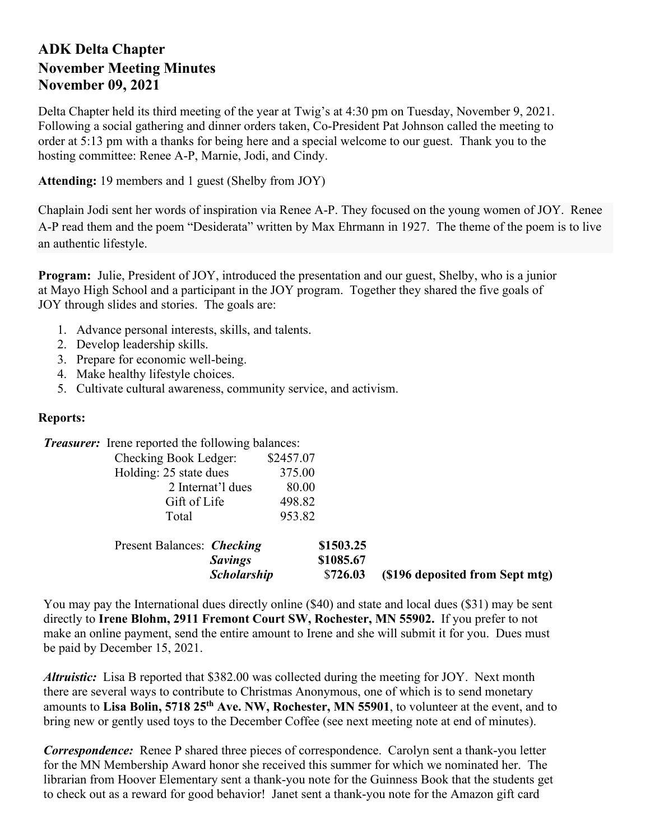## **ADK Delta Chapter November Meeting Minutes November 09, 2021**

Delta Chapter held its third meeting of the year at Twig's at 4:30 pm on Tuesday, November 9, 2021. Following a social gathering and dinner orders taken, Co-President Pat Johnson called the meeting to order at 5:13 pm with a thanks for being here and a special welcome to our guest. Thank you to the hosting committee: Renee A-P, Marnie, Jodi, and Cindy.

**Attending:** 19 members and 1 guest (Shelby from JOY)

Chaplain Jodi sent her words of inspiration via Renee A-P. They focused on the young women of JOY. Renee A-P read them and the poem "Desiderata" written by Max Ehrmann in 1927. The theme of the poem is to live an authentic lifestyle.

**Program:** Julie, President of JOY, introduced the presentation and our guest, Shelby, who is a junior at Mayo High School and a participant in the JOY program. Together they shared the five goals of JOY through slides and stories. The goals are:

- 1. Advance personal interests, skills, and talents.
- 2. Develop leadership skills.
- 3. Prepare for economic well-being.
- 4. Make healthy lifestyle choices.
- 5. Cultivate cultural awareness, community service, and activism.

## **Reports:**

*Treasurer:* Irene reported the following balances:

| Checking Book Ledger:  | \$2457.07 |
|------------------------|-----------|
| Holding: 25 state dues | 375.00    |
| 2 Internat'l dues      | 80.00     |
| Gift of Life           | 498.82    |
| Total                  | 953.82    |

| Present Balances: <i>Checking</i> |                    | \$1503.25 |                                 |
|-----------------------------------|--------------------|-----------|---------------------------------|
|                                   | <i>Savings</i>     | \$1085.67 |                                 |
|                                   | <b>Scholarship</b> | \$726.03  | (\$196 deposited from Sept mtg) |

You may pay the International dues directly online (\$40) and state and local dues (\$31) may be sent directly to **Irene Blohm, 2911 Fremont Court SW, Rochester, MN 55902.** If you prefer to not make an online payment, send the entire amount to Irene and she will submit it for you. Dues must be paid by December 15, 2021.

*Altruistic:* Lisa B reported that \$382.00 was collected during the meeting for JOY. Next month there are several ways to contribute to Christmas Anonymous, one of which is to send monetary amounts to **Lisa Bolin, 5718 25th Ave. NW, Rochester, MN 55901**, to volunteer at the event, and to bring new or gently used toys to the December Coffee (see next meeting note at end of minutes).

*Correspondence:* Renee P shared three pieces of correspondence. Carolyn sent a thank-you letter for the MN Membership Award honor she received this summer for which we nominated her. The librarian from Hoover Elementary sent a thank-you note for the Guinness Book that the students get to check out as a reward for good behavior! Janet sent a thank-you note for the Amazon gift card